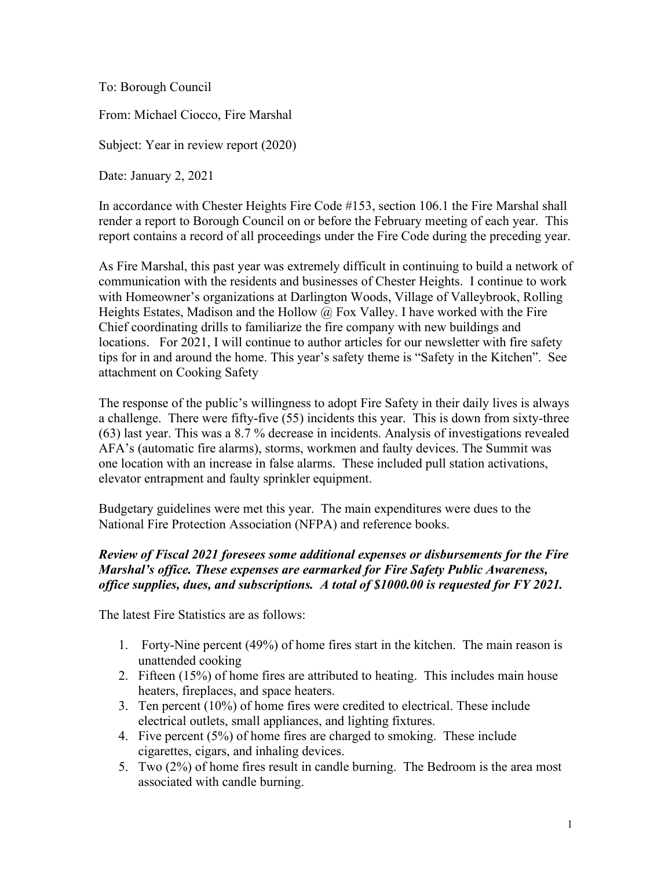To: Borough Council

From: Michael Ciocco, Fire Marshal

Subject: Year in review report (2020)

Date: January 2, 2021

In accordance with Chester Heights Fire Code #153, section 106.1 the Fire Marshal shall render a report to Borough Council on or before the February meeting of each year. This report contains a record of all proceedings under the Fire Code during the preceding year.

As Fire Marshal, this past year was extremely difficult in continuing to build a network of communication with the residents and businesses of Chester Heights. I continue to work with Homeowner's organizations at Darlington Woods, Village of Valleybrook, Rolling Heights Estates, Madison and the Hollow  $\omega$  Fox Valley. I have worked with the Fire Chief coordinating drills to familiarize the fire company with new buildings and locations. For 2021, I will continue to author articles for our newsletter with fire safety tips for in and around the home. This year's safety theme is "Safety in the Kitchen". See attachment on Cooking Safety

The response of the public's willingness to adopt Fire Safety in their daily lives is always a challenge. There were fifty-five (55) incidents this year. This is down from sixty-three (63) last year. This was a 8.7 % decrease in incidents. Analysis of investigations revealed AFA's (automatic fire alarms), storms, workmen and faulty devices. The Summit was one location with an increase in false alarms. These included pull station activations, elevator entrapment and faulty sprinkler equipment.

Budgetary guidelines were met this year. The main expenditures were dues to the National Fire Protection Association (NFPA) and reference books.

## *Review of Fiscal 2021 foresees some additional expenses or disbursements for the Fire Marshal's office. These expenses are earmarked for Fire Safety Public Awareness, office supplies, dues, and subscriptions. A total of \$1000.00 is requested for FY 2021.*

The latest Fire Statistics are as follows:

- 1. Forty-Nine percent (49%) of home fires start in the kitchen. The main reason is unattended cooking
- 2. Fifteen (15%) of home fires are attributed to heating. This includes main house heaters, fireplaces, and space heaters.
- 3. Ten percent (10%) of home fires were credited to electrical. These include electrical outlets, small appliances, and lighting fixtures.
- 4. Five percent (5%) of home fires are charged to smoking. These include cigarettes, cigars, and inhaling devices.
- 5. Two (2%) of home fires result in candle burning. The Bedroom is the area most associated with candle burning.